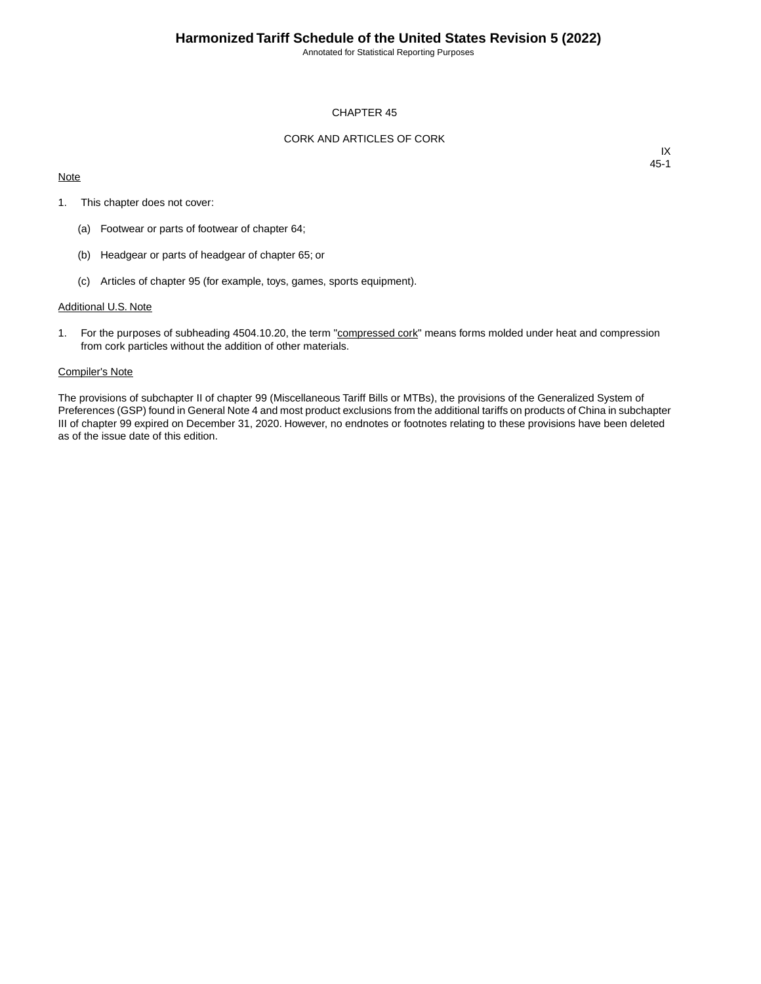Annotated for Statistical Reporting Purposes

# CHAPTER 45

# CORK AND ARTICLES OF CORK

## **Note**

IX 45-1

- 1. This chapter does not cover:
	- (a) Footwear or parts of footwear of chapter 64;
	- (b) Headgear or parts of headgear of chapter 65; or
	- (c) Articles of chapter 95 (for example, toys, games, sports equipment).

#### Additional U.S. Note

1. For the purposes of subheading 4504.10.20, the term "compressed cork" means forms molded under heat and compression from cork particles without the addition of other materials.

### Compiler's Note

The provisions of subchapter II of chapter 99 (Miscellaneous Tariff Bills or MTBs), the provisions of the Generalized System of Preferences (GSP) found in General Note 4 and most product exclusions from the additional tariffs on products of China in subchapter III of chapter 99 expired on December 31, 2020. However, no endnotes or footnotes relating to these provisions have been deleted as of the issue date of this edition.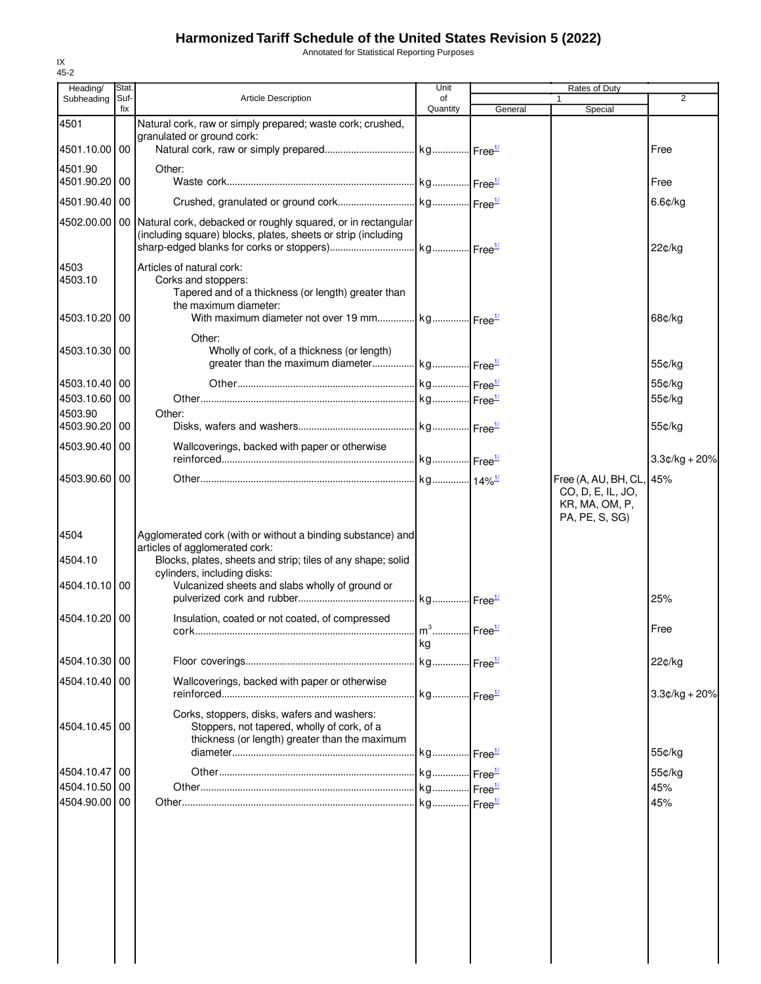# **Harmonized Tariff Schedule of the United States Revision 5 (2022)**

Annotated for Statistical Reporting Purposes

| Heading/                 | Stat.       |                                                                                                       | Unit           | Rates of Duty |                         |                 |
|--------------------------|-------------|-------------------------------------------------------------------------------------------------------|----------------|---------------|-------------------------|-----------------|
| Subheading               | Suf-<br>fix | <b>Article Description</b>                                                                            | of<br>Quantity | General       | $\mathbf{1}$<br>Special | 2               |
| 4501                     |             | Natural cork, raw or simply prepared; waste cork; crushed,                                            |                |               |                         |                 |
|                          |             | granulated or ground cork:                                                                            |                |               |                         |                 |
| 4501.10.00 00            |             |                                                                                                       |                |               |                         | Free            |
| 4501.90<br>4501.90.20    | 00          | Other:                                                                                                |                |               |                         |                 |
|                          |             |                                                                                                       |                |               |                         | Free            |
| 4501.90.40               | 00          |                                                                                                       |                |               |                         | 6.6¢/kg         |
|                          |             | 4502.00.00   00   Natural cork, debacked or roughly squared, or in rectangular                        |                |               |                         |                 |
|                          |             | (including square) blocks, plates, sheets or strip (including                                         |                |               |                         | 22¢/kg          |
|                          |             |                                                                                                       |                |               |                         |                 |
| 4503<br>4503.10          |             | Articles of natural cork:<br>Corks and stoppers:                                                      |                |               |                         |                 |
|                          |             | Tapered and of a thickness (or length) greater than                                                   |                |               |                         |                 |
|                          |             | the maximum diameter:                                                                                 |                |               |                         |                 |
| 4503.10.20               | 00          | With maximum diameter not over 19 mm $kg$ $Free^{\mathcal{U}}$                                        |                |               |                         | 68¢/kg          |
|                          |             | Other:                                                                                                |                |               |                         |                 |
| 4503.10.30 00            |             | Wholly of cork, of a thickness (or length)<br>greater than the maximum diameter kg Free <sup>1/</sup> |                |               |                         | 55¢/kg          |
|                          |             |                                                                                                       |                |               |                         |                 |
| 4503.10.40<br>4503.10.60 | 00<br>00    |                                                                                                       |                |               |                         | 55¢/kg          |
| 4503.90                  |             | Other:                                                                                                |                |               |                         | 55¢/kg          |
| 4503.90.20               | 00          |                                                                                                       |                |               |                         | 55¢/kg          |
| 4503.90.40 00            |             | Wallcoverings, backed with paper or otherwise                                                         |                |               |                         |                 |
|                          |             |                                                                                                       |                |               |                         | $3.3¢/kg + 20%$ |
| 4503.90.60 00            |             |                                                                                                       |                |               | Free (A, AU, BH, CL,    | 45%             |
|                          |             |                                                                                                       |                |               | CO, D, E, IL, JO,       |                 |
|                          |             |                                                                                                       |                |               | KR, MA, OM, P,          |                 |
|                          |             |                                                                                                       |                |               | PA, PE, S, SG)          |                 |
| 4504                     |             | Agglomerated cork (with or without a binding substance) and<br>articles of agglomerated cork:         |                |               |                         |                 |
| 4504.10                  |             | Blocks, plates, sheets and strip; tiles of any shape; solid                                           |                |               |                         |                 |
|                          |             | cylinders, including disks:                                                                           |                |               |                         |                 |
| 4504.10.10               | 00          | Vulcanized sheets and slabs wholly of ground or                                                       |                |               |                         |                 |
|                          |             |                                                                                                       |                |               |                         | 25%             |
| 4504.10.20               | 00          | Insulation, coated or not coated, of compressed                                                       |                |               |                         | Free            |
|                          |             |                                                                                                       | kg             |               |                         |                 |
| 4504.10.30 00            |             |                                                                                                       |                |               |                         | 22¢/kg          |
|                          |             |                                                                                                       |                |               |                         |                 |
| 4504.10.40 00            |             | Wallcoverings, backed with paper or otherwise                                                         |                |               |                         | $3.3¢/kg + 20%$ |
|                          |             |                                                                                                       |                |               |                         |                 |
| 4504.10.45 00            |             | Corks, stoppers, disks, wafers and washers:<br>Stoppers, not tapered, wholly of cork, of a            |                |               |                         |                 |
|                          |             | thickness (or length) greater than the maximum                                                        |                |               |                         |                 |
|                          |             |                                                                                                       |                |               |                         | 55¢/kg          |
| 4504.10.47 00            |             |                                                                                                       |                |               |                         | 55¢/kg          |
| 4504.10.50               | 00          |                                                                                                       |                |               |                         | 45%             |
| 4504.90.00               | 00          |                                                                                                       |                |               |                         | 45%             |
|                          |             |                                                                                                       |                |               |                         |                 |
|                          |             |                                                                                                       |                |               |                         |                 |
|                          |             |                                                                                                       |                |               |                         |                 |
|                          |             |                                                                                                       |                |               |                         |                 |
|                          |             |                                                                                                       |                |               |                         |                 |
|                          |             |                                                                                                       |                |               |                         |                 |
|                          |             |                                                                                                       |                |               |                         |                 |
|                          |             |                                                                                                       |                |               |                         |                 |
|                          |             |                                                                                                       |                |               |                         |                 |
|                          |             |                                                                                                       |                |               |                         |                 |

IX 45-2